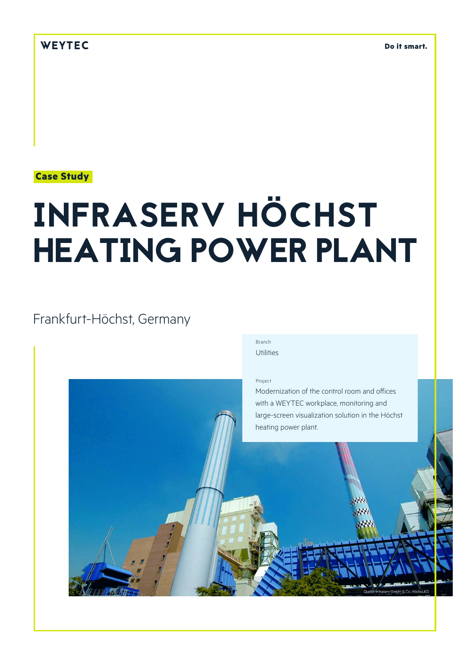### **Case Study**

# INFRASERV HÖCHST HEATING POWER PLANT

## Frankfurt-Höchst, Germany

Branch Utilities

Project

Modernization of the control room and offices with a WEYTEC workplace, monitoring and large-screen visualization solution in the Höchst heating power plant.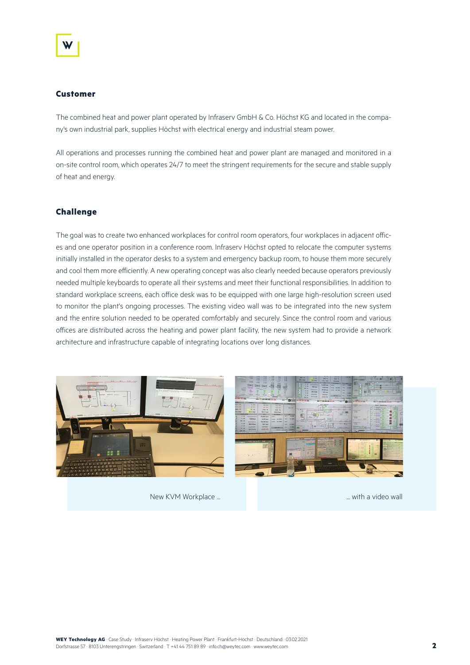#### **Customer**

The combined heat and power plant operated by Infraserv GmbH & Co. Höchst KG and located in the company's own industrial park, supplies Höchst with electrical energy and industrial steam power.

All operations and processes running the combined heat and power plant are managed and monitored in a on-site control room, which operates 24/7 to meet the stringent requirements for the secure and stable supply of heat and energy.

#### **Challenge**

The goal was to create two enhanced workplaces for control room operators, four workplaces in adjacent offices and one operator position in a conference room. Infraserv Höchst opted to relocate the computer systems initially installed in the operator desks to a system and emergency backup room, to house them more securely and cool them more efficiently. A new operating concept was also clearly needed because operators previously needed multiple keyboards to operate all their systems and meet their functional responsibilities. In addition to standard workplace screens, each office desk was to be equipped with one large high-resolution screen used to monitor the plant's ongoing processes. The existing video wall was to be integrated into the new system and the entire solution needed to be operated comfortably and securely. Since the control room and various offices are distributed across the heating and power plant facility, the new system had to provide a network architecture and infrastructure capable of integrating locations over long distances.



New KVM Workplace ... **New KVM Workplace ...** New KVM Workplace ...